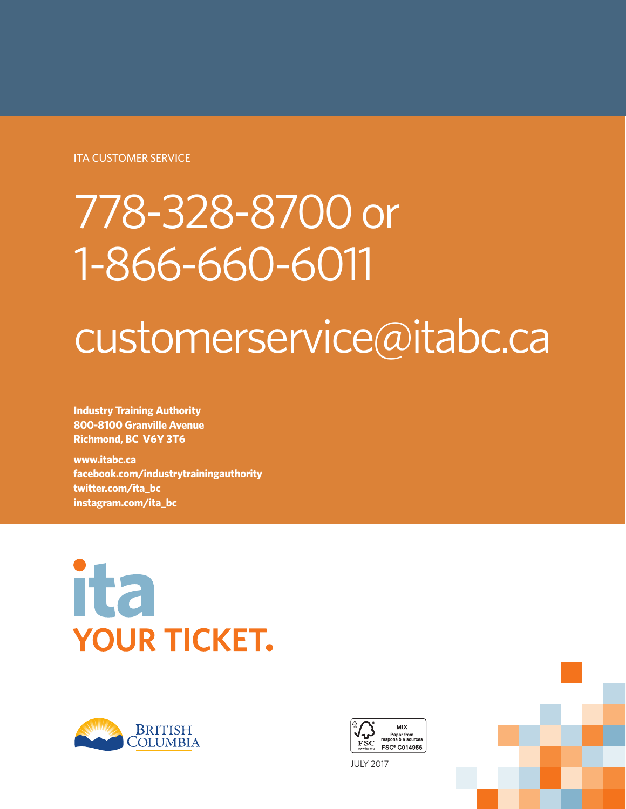ITA CUSTOMER SERVICE

# 778-328-8700 or 1-866-660-6011

# customerservice@itabc.ca

**Industry Training Authority 800-8100 Granville Avenue Richmond, BC V6Y 3T6**

**www.itabc.ca facebook.com/industrytrainingauthority twitter.com/ita\_bc instagram.com/ita\_bc**

# ita **YOUR TICKET.**





JULY 2017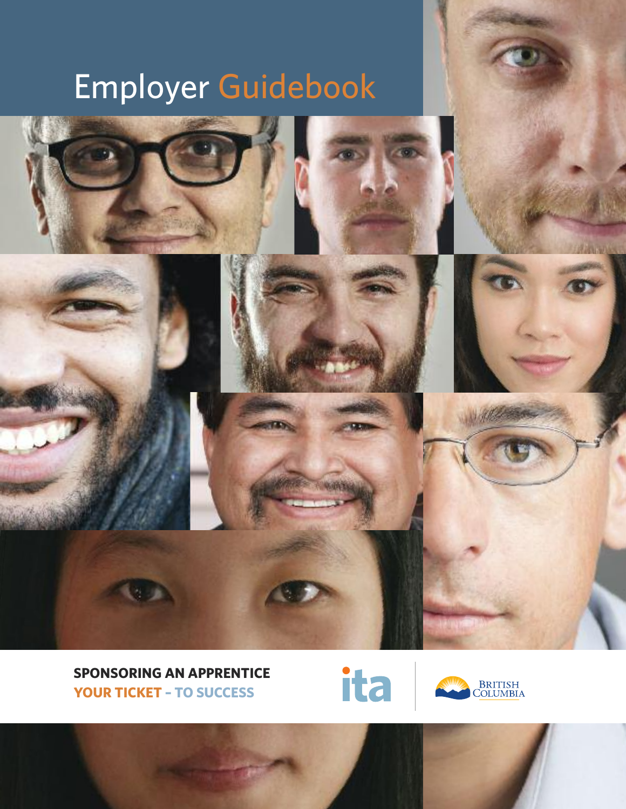### Employer Guidebook



**SPONSORING AN APPRENTICE YOUR TICKET – TO SUCCESS**



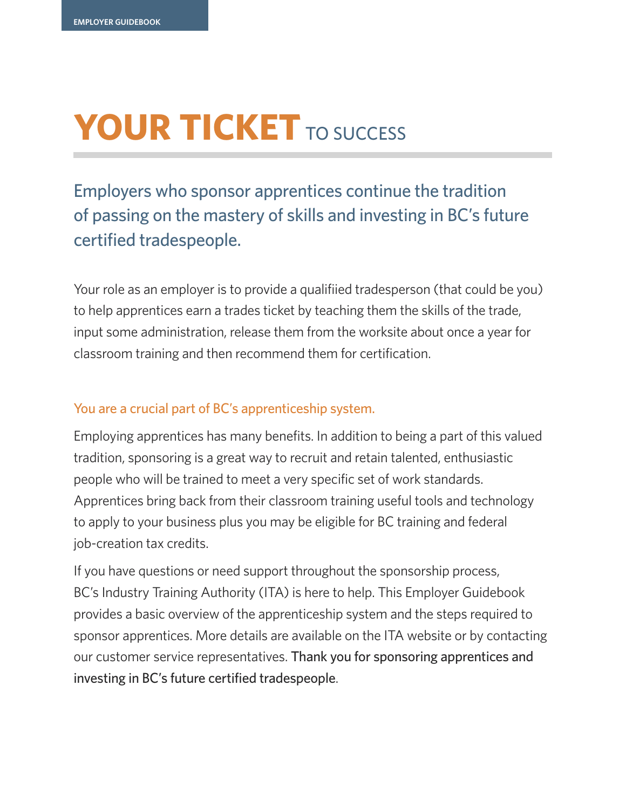### **YOUR TICKET** TO SUCCESS

Employers who sponsor apprentices continue the tradition of passing on the mastery of skills and investing in BC's future certified tradespeople.

Your role as an employer is to provide a qualifiied tradesperson (that could be you) to help apprentices earn a trades ticket by teaching them the skills of the trade, input some administration, release them from the worksite about once a year for classroom training and then recommend them for certification.

#### You are a crucial part of BC's apprenticeship system.

Employing apprentices has many benefits. In addition to being a part of this valued tradition, sponsoring is a great way to recruit and retain talented, enthusiastic people who will be trained to meet a very specific set of work standards. Apprentices bring back from their classroom training useful tools and technology to apply to your business plus you may be eligible for BC training and federal job-creation tax credits.

If you have questions or need support throughout the sponsorship process, BC's Industry Training Authority (ITA) is here to help. This Employer Guidebook provides a basic overview of the apprenticeship system and the steps required to sponsor apprentices. More details are available on the ITA website or by contacting our customer service representatives. Thank you for sponsoring apprentices and investing in BC's future certified tradespeople.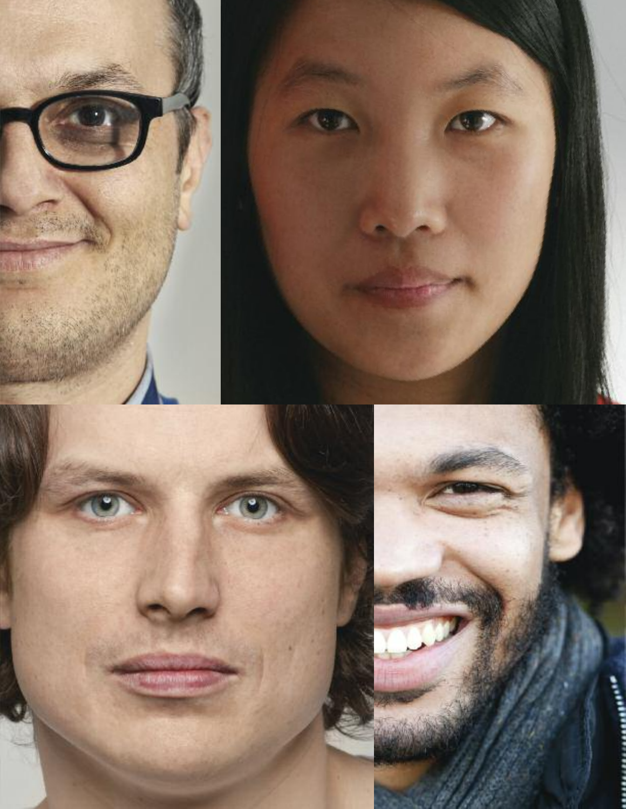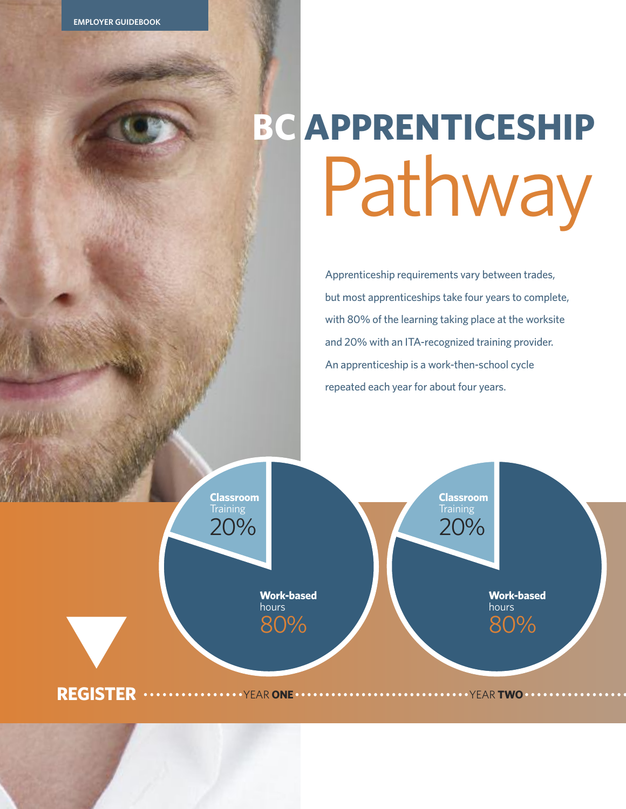# **BC APPRENTICESHIP** Pathway

Apprenticeship requirements vary between trades, but most apprenticeships take four years to complete, with 80% of the learning taking place at the worksite and 20% with an ITA-recognized training provider. An apprenticeship is a work-then-school cycle repeated each year for about four years.

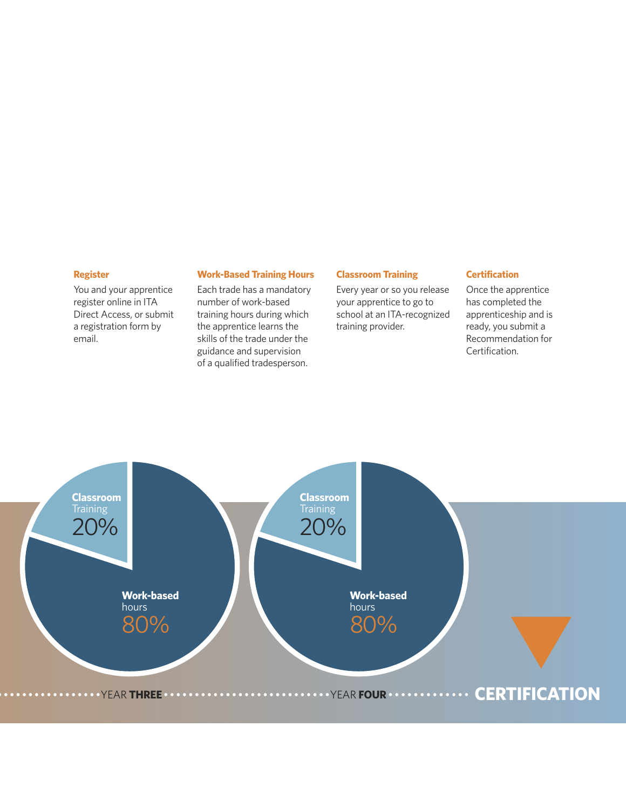#### **Register**

You and your apprentice register online in ITA Direct Access, or submit a registration form by email.

#### **Work-Based Training Hours**

Each trade has a mandatory number of work-based training hours during which the apprentice learns the skills of the trade under the guidance and supervision of a qualified tradesperson.

#### **Classroom Training**

Every year or so you release your apprentice to go to school at an ITA-recognized training provider.

#### **Certification**

Once the apprentice has completed the apprenticeship and is ready, you submit a Recommendation for Certification.

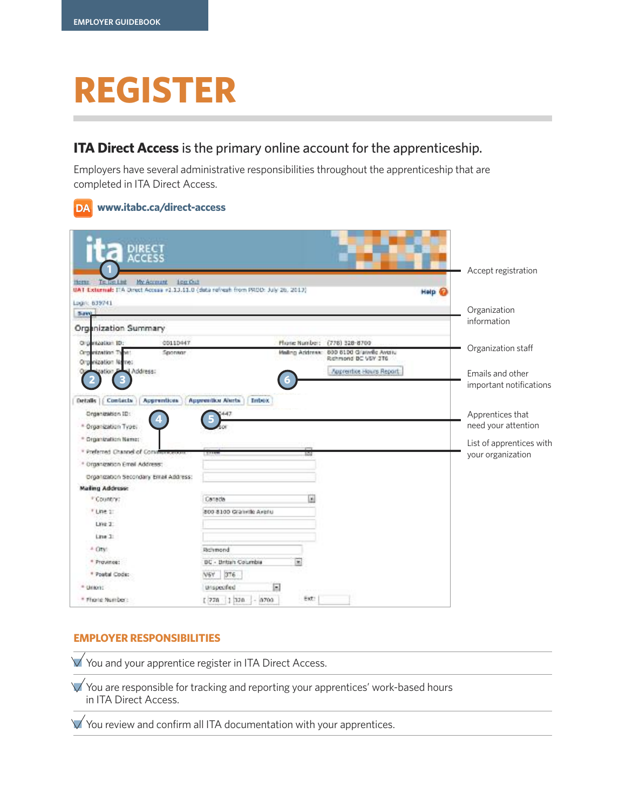### **REGISTER**

#### **ITA Direct Access** is the primary online account for the apprenticeship.

Employers have several administrative responsibilities throughout the apprenticeship that are completed in ITA Direct Access.

#### **www.itabc.ca/direct-access**

| DIRECT<br>ACCESS<br>My Account<br>To Do Ltd.<br>lon Out<br><b>Hamm</b><br>UAT External: ITA Orect Access #2.13.11.0 (data relivant from PRDD: 3uly 26, 2013) | <b>Halp</b>                                                                                                 | Accept registration                         |
|--------------------------------------------------------------------------------------------------------------------------------------------------------------|-------------------------------------------------------------------------------------------------------------|---------------------------------------------|
| Logic: 639741                                                                                                                                                |                                                                                                             | Organization                                |
| 5499                                                                                                                                                         |                                                                                                             | information                                 |
| Organization Summary                                                                                                                                         |                                                                                                             |                                             |
| 0011D447<br>Organization 1D:<br>Organization T<br>Sponsor<br>Org<br>mization Name:                                                                           | Flone Number: (776) 328-8700<br>800 8100 Granville Avenue<br><b>Halling Address:</b><br>Richmond BC VEY 2T6 | Organization staff                          |
| I Address:                                                                                                                                                   | Augrentice Hours Report                                                                                     | Emails and other<br>important notifications |
| Apprentices<br>Contacts<br>Details<br>Drgsnitzation ID:<br>* Organization Type:                                                                              | <b>Apprentice Alerta</b><br><b>Inbox</b>                                                                    | Apprentices that<br>need your attention     |
| * Organization Name:                                                                                                                                         |                                                                                                             | List of apprentices with                    |
| <sup>#</sup> Preferred Channel of Communication                                                                                                              |                                                                                                             | your organization                           |
| * Organization Ernal Address:                                                                                                                                |                                                                                                             |                                             |
| Organization Secondary Email Address:                                                                                                                        |                                                                                                             |                                             |
| Mailing Address:                                                                                                                                             |                                                                                                             |                                             |
| * Country:                                                                                                                                                   | Canada<br>×                                                                                                 |                                             |
| f Line to                                                                                                                                                    | 800-8100 Grahville Avenu                                                                                    |                                             |
| Line 31                                                                                                                                                      |                                                                                                             |                                             |
| Line 3:                                                                                                                                                      |                                                                                                             |                                             |
| <sup>4</sup> Otyl                                                                                                                                            | Richmond                                                                                                    |                                             |
| * Province:                                                                                                                                                  | <b>BC - British Coumbia</b><br>×                                                                            |                                             |
| * Postal Code:                                                                                                                                               | N5Y<br>376                                                                                                  |                                             |
| * Union:                                                                                                                                                     | E<br>unspecified                                                                                            |                                             |
| * Fhone Number:                                                                                                                                              | Ext:<br>$[776]$ $[326]$ - 8700                                                                              |                                             |

#### **EMPLOYER RESPONSIBILITIES**

**■** You and your apprentice register in ITA Direct Access.

**■** You are responsible for tracking and reporting your apprentices' work-based hours in ITA Direct Access.

**■** You review and confirm all ITA documentation with your apprentices.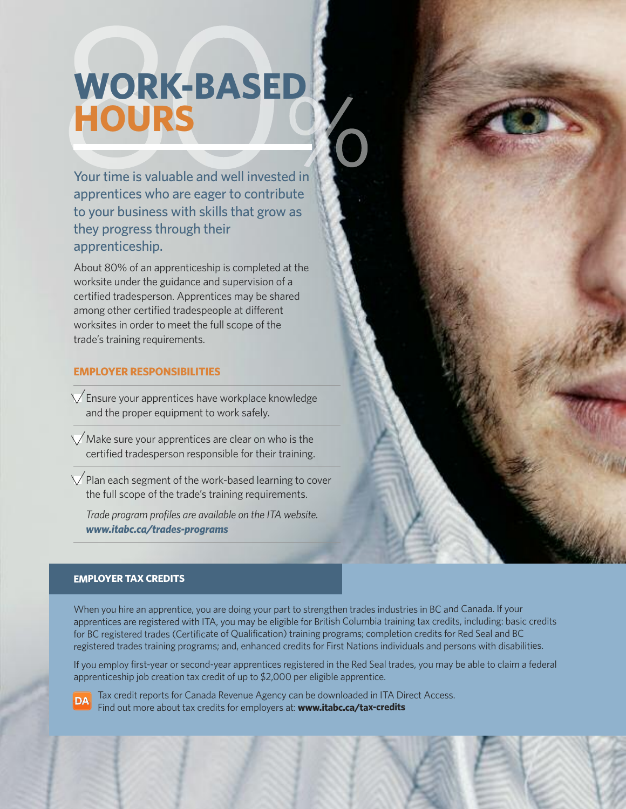### **WORK-BASED HOURS**

Your time is valuable and well invested in apprentices who are eager to contribute to your business with skills that grow as they progress through their apprenticeship.

About 80% of an apprenticeship is completed at the worksite under the guidance and supervision of a certified tradesperson. Apprentices may be shared among other certified tradespeople at different worksites in order to meet the full scope of the trade's training requirements.

#### **EMPLOYER RESPONSIBILITIES**

 $\sqrt{\ }$  Ensure your apprentices have workplace knowledge and the proper equipment to work safely.

**■** Make sure your apprentices are clear on who is the certified tradesperson responsible for their training.

 $\sqrt{}$  Plan each segment of the work-based learning to cover the full scope of the trade's training requirements.

*Trade program profiles are available on the ITA website. www.itabc.ca/trades-programs*

#### **EMPLOYER TAX CREDITS**

When you hire an apprentice, you are doing your part to strengthen trades industries in BC and Canada. If your apprentices are registered with ITA, you may be eligible for British Columbia training tax credits, including: basic credits for BC registered trades (Certificate of Qualification) training programs; completion credits for Red Seal and BC registered trades training programs; and, enhanced credits for First Nations individuals and persons with disabilities.

If you employ first-year or second-year apprentices registered in the Red Seal trades, you may be able to claim a federal apprenticeship job creation tax credit of up to \$2,000 per eligible apprentice.



Tax credit reports for Canada Revenue Agency can be downloaded in ITA Direct Access. Find out more about tax credits for employers at: **www.itabc.ca/tax-credits**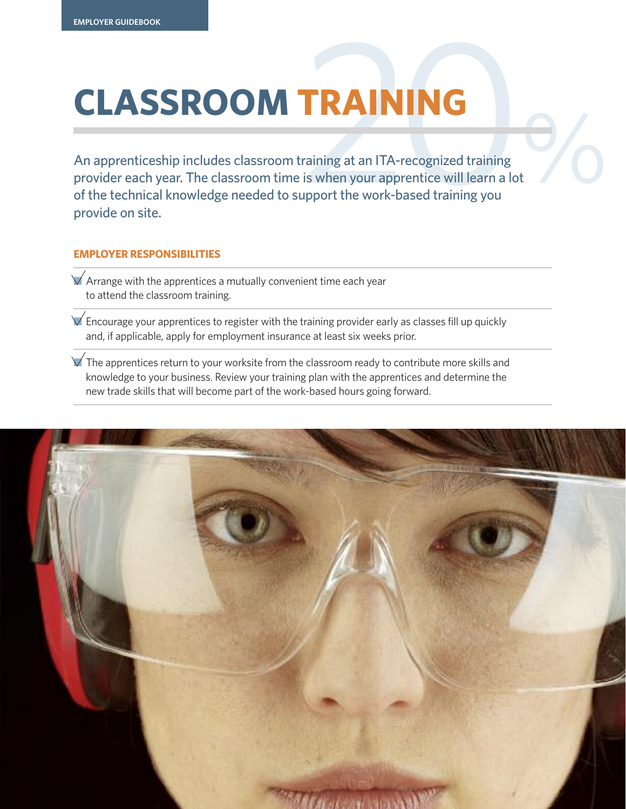### 20% **CLASSROOM TRAINING**

An apprenticeship includes classroom training at an ITA-recognized training provider each year. The classroom time is when your apprentice will learn a lot of the technical knowledge needed to support the work-based training you provide on site.

#### **EMPLOYER RESPONSIBILITIES**

**■** Arrange with the apprentices a mutually convenient time each year to attend the classroom training.

**■** Encourage your apprentices to register with the training provider early as classes fill up quickly and, if applicable, apply for employment insurance at least six weeks prior.

**The apprentices return to your worksite from the classroom ready to contribute more skills and** knowledge to your business. Review your training plan with the apprentices and determine the new trade skills that will become part of the work-based hours going forward.

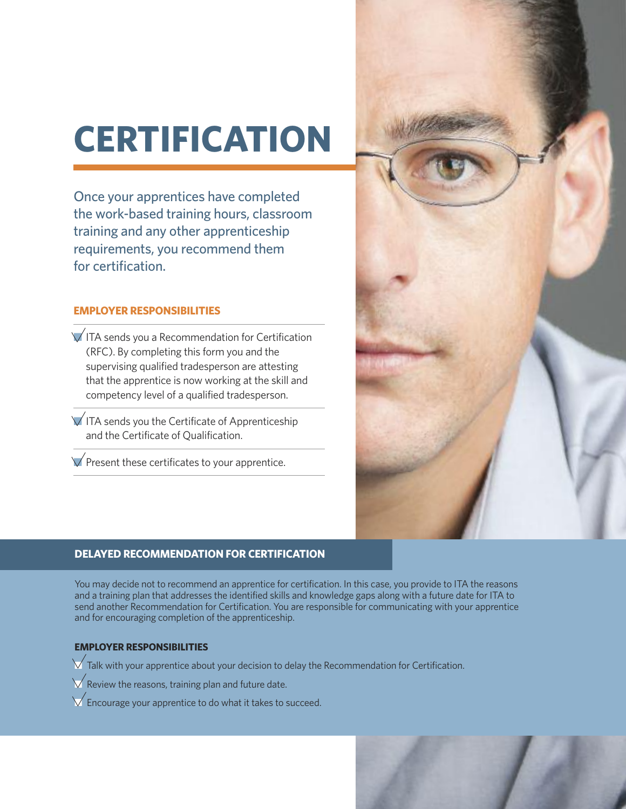## **CERTIFICATION**

Once your apprentices have completed the work-based training hours, classroom training and any other apprenticeship requirements, you recommend them for certification.

#### **EMPLOYER RESPONSIBILITIES**

- **■** ITA sends you a Recommendation for Certification (RFC). By completing this form you and the supervising qualified tradesperson are attesting that the apprentice is now working at the skill and competency level of a qualified tradesperson.
- **■** ITA sends you the Certificate of Apprenticeship and the Certificate of Qualification.
- **■** Present these certificates to your apprentice.

#### **DELAYED RECOMMENDATION FOR CERTIFICATION**

You may decide not to recommend an apprentice for certification. In this case, you provide to ITA the reasons and a training plan that addresses the identified skills and knowledge gaps along with a future date for ITA to send another Recommendation for Certification. You are responsible for communicating with your apprentice and for encouraging completion of the apprenticeship.

#### **EMPLOYER RESPONSIBILITIES**

 $\sqrt{\ }$  Talk with your apprentice about your decision to delay the Recommendation for Certification.

 $\sqrt{}$  Review the reasons, training plan and future date.

 $\sqrt{}$  Encourage your apprentice to do what it takes to succeed.



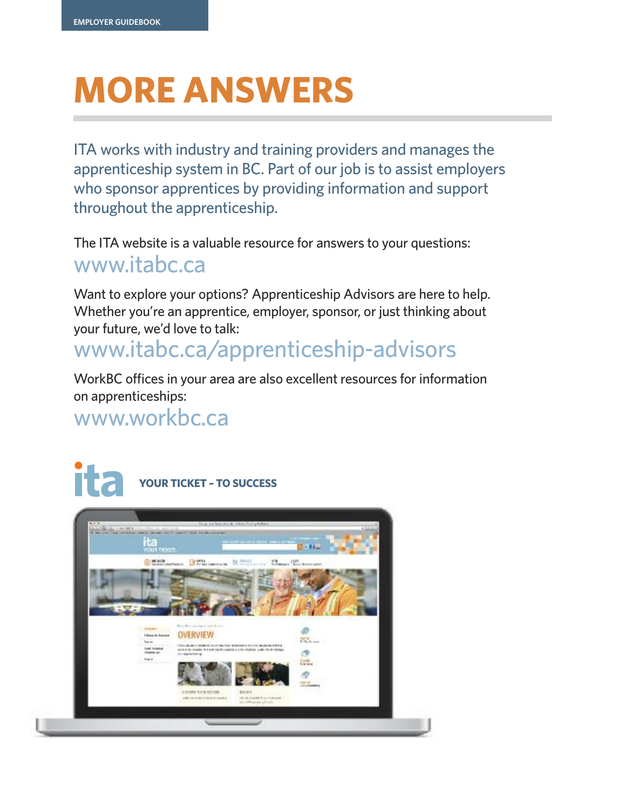### **MORE ANSWERS**

ITA works with industry and training providers and manages the apprenticeship system in BC. Part of our job is to assist employers who sponsor apprentices by providing information and support throughout the apprenticeship.

The ITA website is a valuable resource for answers to your questions: www.itabc.ca

Want to explore your options? Apprenticeship Advisors are here to help. Whether you're an apprentice, employer, sponsor, or just thinking about your future, we'd love to talk:

#### www.itabc.ca/apprenticeship-advisors

WorkBC offices in your area are also excellent resources for information on apprenticeships:

#### www.workbc.ca